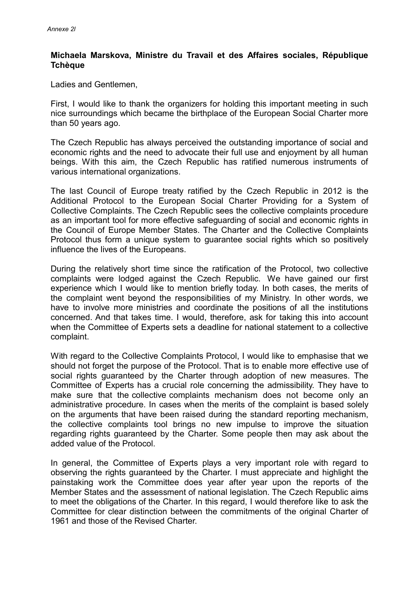## **Michaela Marskova, Ministre du Travail et des Affaires sociales, République Tchèque**

Ladies and Gentlemen,

First, I would like to thank the organizers for holding this important meeting in such nice surroundings which became the birthplace of the European Social Charter more than 50 years ago.

The Czech Republic has always perceived the outstanding importance of social and economic rights and the need to advocate their full use and enjoyment by all human beings. With this aim, the Czech Republic has ratified numerous instruments of various international organizations.

The last Council of Europe treaty ratified by the Czech Republic in 2012 is the Additional Protocol to the European Social Charter Providing for a System of Collective Complaints. The Czech Republic sees the collective complaints procedure as an important tool for more effective safeguarding of social and economic rights in the Council of Europe Member States. The Charter and the Collective Complaints Protocol thus form a unique system to guarantee social rights which so positively influence the lives of the Europeans.

During the relatively short time since the ratification of the Protocol, two collective complaints were lodged against the Czech Republic. We have gained our first experience which I would like to mention briefly today. In both cases, the merits of the complaint went beyond the responsibilities of my Ministry. In other words, we have to involve more ministries and coordinate the positions of all the institutions concerned. And that takes time. I would, therefore, ask for taking this into account when the Committee of Experts sets a deadline for national statement to a collective complaint.

With regard to the Collective Complaints Protocol, I would like to emphasise that we should not forget the purpose of the Protocol. That is to enable more effective use of social rights guaranteed by the Charter through adoption of new measures. The Committee of Experts has a crucial role concerning the admissibility. They have to make sure that the collective complaints mechanism does not become only an administrative procedure. In cases when the merits of the complaint is based solely on the arguments that have been raised during the standard reporting mechanism, the collective complaints tool brings no new impulse to improve the situation regarding rights guaranteed by the Charter. Some people then may ask about the added value of the Protocol.

In general, the Committee of Experts plays a very important role with regard to observing the rights guaranteed by the Charter. I must appreciate and highlight the painstaking work the Committee does year after year upon the reports of the Member States and the assessment of national legislation. The Czech Republic aims to meet the obligations of the Charter. In this regard, I would therefore like to ask the Committee for clear distinction between the commitments of the original Charter of 1961 and those of the Revised Charter.